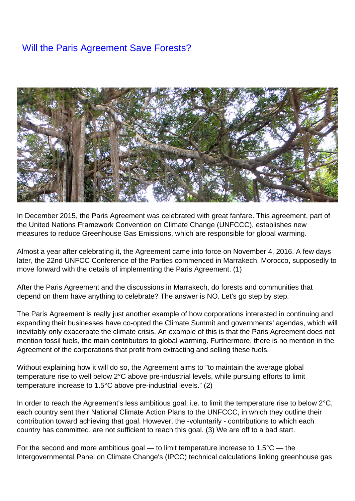## **[Will the Paris Agreement Save Forests?](/bulletin-articles/will-the-paris-agreement-save-forests)**



In December 2015, the Paris Agreement was celebrated with great fanfare. This agreement, part of the United Nations Framework Convention on Climate Change (UNFCCC), establishes new measures to reduce Greenhouse Gas Emissions, which are responsible for global warming.

Almost a year after celebrating it, the Agreement came into force on November 4, 2016. A few days later, the 22nd UNFCC Conference of the Parties commenced in Marrakech, Morocco, supposedly to move forward with the details of implementing the Paris Agreement. (1)

After the Paris Agreement and the discussions in Marrakech, do forests and communities that depend on them have anything to celebrate? The answer is NO. Let's go step by step.

The Paris Agreement is really just another example of how corporations interested in continuing and expanding their businesses have co-opted the Climate Summit and governments' agendas, which will inevitably only exacerbate the climate crisis. An example of this is that the Paris Agreement does not mention fossil fuels, the main contributors to global warming. Furthermore, there is no mention in the Agreement of the corporations that profit from extracting and selling these fuels.

Without explaining how it will do so, the Agreement aims to "to maintain the average global temperature rise to well below 2°C above pre-industrial levels, while pursuing efforts to limit temperature increase to 1.5°C above pre-industrial levels." (2)

In order to reach the Agreement's less ambitious goal, i.e. to limit the temperature rise to below 2°C, each country sent their National Climate Action Plans to the UNFCCC, in which they outline their contribution toward achieving that goal. However, the -voluntarily - contributions to which each country has committed, are not sufficient to reach this goal. (3) We are off to a bad start.

For the second and more ambitious goal — to limit temperature increase to  $1.5^{\circ}$ C — the Intergovernmental Panel on Climate Change's (IPCC) technical calculations linking greenhouse gas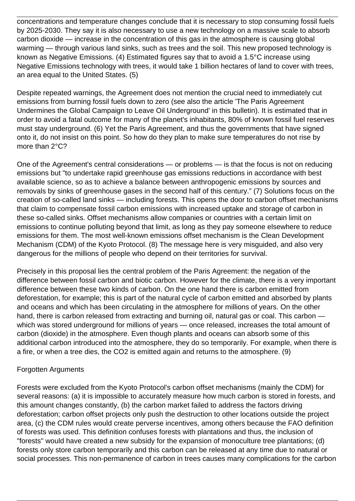concentrations and temperature changes conclude that it is necessary to stop consuming fossil fuels by 2025-2030. They say it is also necessary to use a new technology on a massive scale to absorb carbon dioxide — increase in the concentration of this gas in the atmosphere is causing global warming — through various land sinks, such as trees and the soil. This new proposed technology is known as Negative Emissions. (4) Estimated figures say that to avoid a 1.5°C increase using Negative Emissions technology with trees, it would take 1 billion hectares of land to cover with trees, an area equal to the United States. (5)

Despite repeated warnings, the Agreement does not mention the crucial need to immediately cut emissions from burning fossil fuels down to zero (see also the article 'The Paris Agreement Undermines the Global Campaign to Leave Oil Underground' in this bulletin). It is estimated that in order to avoid a fatal outcome for many of the planet's inhabitants, 80% of known fossil fuel reserves must stay underground. (6) Yet the Paris Agreement, and thus the governments that have signed onto it, do not insist on this point. So how do they plan to make sure temperatures do not rise by more than 2°C?

One of the Agreement's central considerations — or problems — is that the focus is not on reducing emissions but "to undertake rapid greenhouse gas emissions reductions in accordance with best available science, so as to achieve a balance between anthropogenic emissions by sources and removals by sinks of greenhouse gases in the second half of this century." (7) Solutions focus on the creation of so-called land sinks — including forests. This opens the door to carbon offset mechanisms that claim to compensate fossil carbon emissions with increased uptake and storage of carbon in these so-called sinks. Offset mechanisms allow companies or countries with a certain limit on emissions to continue polluting beyond that limit, as long as they pay someone elsewhere to reduce emissions for them. The most well-known emissions offset mechanism is the Clean Development Mechanism (CDM) of the Kyoto Protocol. (8) The message here is very misguided, and also very dangerous for the millions of people who depend on their territories for survival.

Precisely in this proposal lies the central problem of the Paris Agreement: the negation of the difference between fossil carbon and biotic carbon. However for the climate, there is a very important difference between these two kinds of carbon. On the one hand there is carbon emitted from deforestation, for example; this is part of the natural cycle of carbon emitted and absorbed by plants and oceans and which has been circulating in the atmosphere for millions of years. On the other hand, there is carbon released from extracting and burning oil, natural gas or coal. This carbon which was stored underground for millions of years — once released, increases the total amount of carbon (dioxide) in the atmosphere. Even though plants and oceans can absorb some of this additional carbon introduced into the atmosphere, they do so temporarily. For example, when there is a fire, or when a tree dies, the CO2 is emitted again and returns to the atmosphere. (9)

## Forgotten Arguments

Forests were excluded from the Kyoto Protocol's carbon offset mechanisms (mainly the CDM) for several reasons: (a) it is impossible to accurately measure how much carbon is stored in forests, and this amount changes constantly, (b) the carbon market failed to address the factors driving deforestation; carbon offset projects only push the destruction to other locations outside the project area, (c) the CDM rules would create perverse incentives, among others because the FAO definition of forests was used. This definition confuses forests with plantations and thus, the inclusion of "forests" would have created a new subsidy for the expansion of monoculture tree plantations; (d) forests only store carbon temporarily and this carbon can be released at any time due to natural or social processes. This non-permanence of carbon in trees causes many complications for the carbon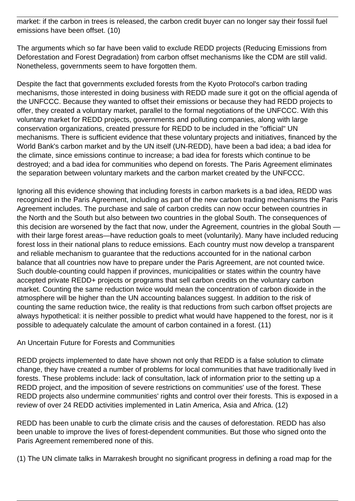market: if the carbon in trees is released, the carbon credit buyer can no longer say their fossil fuel emissions have been offset. (10)

The arguments which so far have been valid to exclude REDD projects (Reducing Emissions from Deforestation and Forest Degradation) from carbon offset mechanisms like the CDM are still valid. Nonetheless, governments seem to have forgotten them.

Despite the fact that governments excluded forests from the Kyoto Protocol's carbon trading mechanisms, those interested in doing business with REDD made sure it got on the official agenda of the UNFCCC. Because they wanted to offset their emissions or because they had REDD projects to offer, they created a voluntary market, parallel to the formal negotiations of the UNFCCC. With this voluntary market for REDD projects, governments and polluting companies, along with large conservation organizations, created pressure for REDD to be included in the "official" UN mechanisms. There is sufficient evidence that these voluntary projects and initiatives, financed by the World Bank's carbon market and by the UN itself (UN-REDD), have been a bad idea; a bad idea for the climate, since emissions continue to increase; a bad idea for forests which continue to be destroyed; and a bad idea for communities who depend on forests. The Paris Agreement eliminates the separation between voluntary markets and the carbon market created by the UNFCCC.

Ignoring all this evidence showing that including forests in carbon markets is a bad idea, REDD was recognized in the Paris Agreement, including as part of the new carbon trading mechanisms the Paris Agreement includes. The purchase and sale of carbon credits can now occur between countries in the North and the South but also between two countries in the global South. The consequences of this decision are worsened by the fact that now, under the Agreement, countries in the global South  $\cdot$ with their large forest areas—have reduction goals to meet (voluntarily). Many have included reducing forest loss in their national plans to reduce emissions. Each country must now develop a transparent and reliable mechanism to guarantee that the reductions accounted for in the national carbon balance that all countries now have to prepare under the Paris Agreement, are not counted twice. Such double-counting could happen if provinces, municipalities or states within the country have accepted private REDD+ projects or programs that sell carbon credits on the voluntary carbon market. Counting the same reduction twice would mean the concentration of carbon dioxide in the atmosphere will be higher than the UN accounting balances suggest. In addition to the risk of counting the same reduction twice, the reality is that reductions from such carbon offset projects are always hypothetical: it is neither possible to predict what would have happened to the forest, nor is it possible to adequately calculate the amount of carbon contained in a forest. (11)

An Uncertain Future for Forests and Communities

REDD projects implemented to date have shown not only that REDD is a false solution to climate change, they have created a number of problems for local communities that have traditionally lived in forests. These problems include: lack of consultation, lack of information prior to the setting up a REDD project, and the imposition of severe restrictions on communities' use of the forest. These REDD projects also undermine communities' rights and control over their forests. This is exposed in a review of over 24 REDD activities implemented in Latin America, Asia and Africa. (12)

REDD has been unable to curb the climate crisis and the causes of deforestation. REDD has also been unable to improve the lives of forest-dependent communities. But those who signed onto the Paris Agreement remembered none of this.

(1) The UN climate talks in Marrakesh brought no significant progress in defining a road map for the